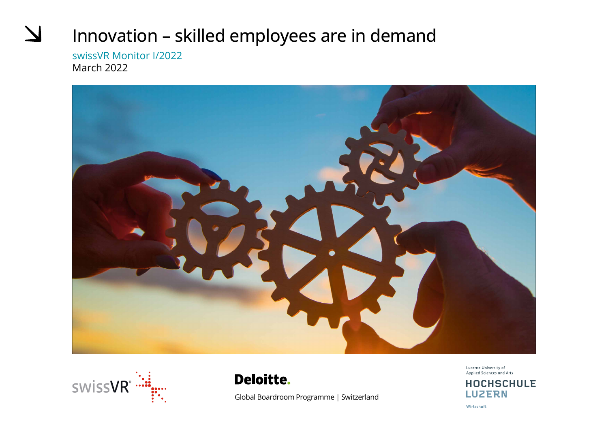### $\overline{\mathsf{V}}$ Innovation – skilled employees are in demand

swissVR Monitor I/2022 March 2022





**Deloitte.** 

Global Boardroom Programme | Switzerland

Lucerne University of Applied Sciences and Arts

**HOCHSCHULE LUZERN** 

Wirtschaft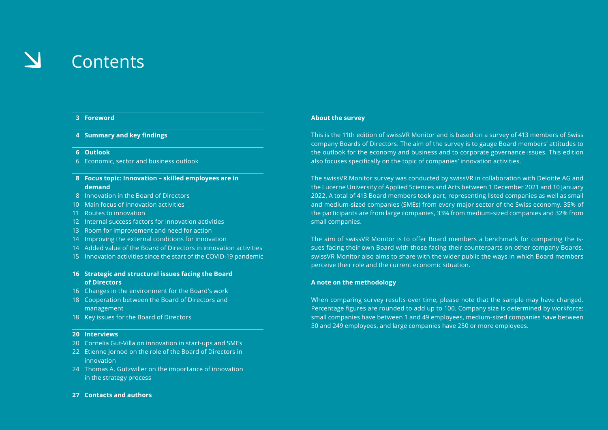# **Contents**

#### **[3 Foreword](#page-2-0)**

#### **[4 Summary](#page-3-0) and key findings**

#### **[6 Outlook](#page-5-0)**

6 [Economic, sector and business outlook](#page-5-0)

#### **8 Focus topic: [Innovation](#page-7-0) – skilled employees are in demand**

- 8 [Innovation in the Board of Directors](#page-7-0)
- 10 [Main focus of innovation activities](#page-9-0)
- 11 [Routes to innovation](#page-10-0)
- 12 [Internal success factors for innovation activities](#page-11-0)
- 13 [Room for improvement and need for action](#page-12-0)
- 14 [Improving the external conditions for innovation](#page-13-0)
- 14 [Added value of the Board of Directors in innovation activities](#page-13-0)
- 15 [Innovation activities since the start of the COVID-19 pandemic](#page-14-0)

#### **[16 Strategic](#page-15-0) and structural issues facing the Board of [Directors](#page-15-0)**

- 16 [Changes in the environment for the Board's work](#page-15-0)
- 18 [Cooperation between the Board of Directors and](#page-17-0)  [management](#page-17-0)
- 18 [Key issues for the Board of Directors](#page-17-0)

#### **[20 Interviews](#page-19-0)**

- 20 Cornelia Gut-Villa on innovation in start-ups and SMEs
- 22 Etienne Jornod on the role of the Board of Directors in innovation
- 24 Thomas A. Gutzwiller on the importance of innovation in the strategy process

#### **About the survey**

This is the 11th edition of swissVR Monitor and is based on a survey of 413 members of Swiss company Boards of Directors. The aim of the survey is to gauge Board members' attitudes to the outlook for the economy and business and to corporate governance issues. This edition also focuses specifically on the topic of companies' innovation activities.

The swissVR Monitor survey was conducted by swissVR in collaboration with Deloitte AG and the Lucerne University of Applied Sciences and Arts between 1 December 2021 and 10 January 2022. A total of 413 Board members took part, representing listed companies as well as small and medium-sized companies (SMEs) from every major sector of the Swiss economy. 35% of the participants are from large companies, 33% from medium-sized companies and 32% from small companies.

The aim of swissVR Monitor is to offer Board members a benchmark for comparing the issues facing their own Board with those facing their counterparts on other company Boards. swissVR Monitor also aims to share with the wider public the ways in which Board members perceive their role and the current economic situation.

#### **A note on the methodology**

When comparing survey results over time, please note that the sample may have changed. Percentage figures are rounded to add up to 100. Company size is determined by workforce: small companies have between 1 and 49 employees, medium-sized companies have between 50 and 249 employees, and large companies have 250 or more employees.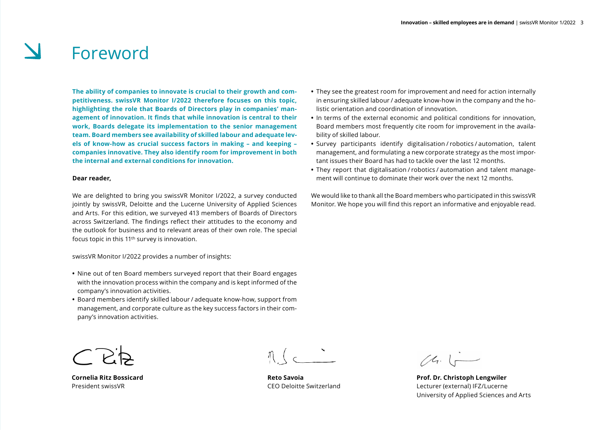# <span id="page-2-0"></span>Foreword

**The ability of companies to innovate is crucial to their growth and competitiveness. swissVR Monitor I/2022 therefore focuses on this topic, highlighting the role that Boards of Directors play in companies' management of innovation. It finds that while innovation is central to their work, Boards delegate its implementation to the senior management team. Board members see availability of skilled labour and adequate levels of know-how as crucial success factors in making – and keeping – companies innovative. They also identify room for improvement in both the internal and external conditions for innovation.**

#### **Dear reader,**

We are delighted to bring you swissVR Monitor I/2022, a survey conducted jointly by swissVR, Deloitte and the Lucerne University of Applied Sciences and Arts. For this edition, we surveyed 413 members of Boards of Directors across Switzerland. The findings reflect their attitudes to the economy and the outlook for business and to relevant areas of their own role. The special focus topic in this 11th survey is innovation.

swissVR Monitor I/2022 provides a number of insights:

- **•** Nine out of ten Board members surveyed report that their Board engages with the innovation process within the company and is kept informed of the company's innovation activities.
- **•** Board members identify skilled labour / adequate know-how, support from management, and corporate culture as the key success factors in their company's innovation activities.

 $C\widehat{Z}$ 

**Cornelia Ritz Bossicard** President swissVR

**Reto Savoia** CEO Deloitte Switzerland

- **•** They see the greatest room for improvement and need for action internally in ensuring skilled labour / adequate know-how in the company and the holistic orientation and coordination of innovation.
- **•** In terms of the external economic and political conditions for innovation, Board members most frequently cite room for improvement in the availability of skilled labour.
- **•** Survey participants identify digitalisation / robotics / automation, talent management, and formulating a new corporate strategy as the most important issues their Board has had to tackle over the last 12 months.
- **•** They report that digitalisation / robotics / automation and talent management will continue to dominate their work over the next 12 months.

We would like to thank all the Board members who participated in this swissVR Monitor. We hope you will find this report an informative and enjoyable read.

 $1-\sqrt{2}$ 

**Prof. Dr. Christoph Lengwiler** Lecturer (external) IFZ/Lucerne University of Applied Sciences and Arts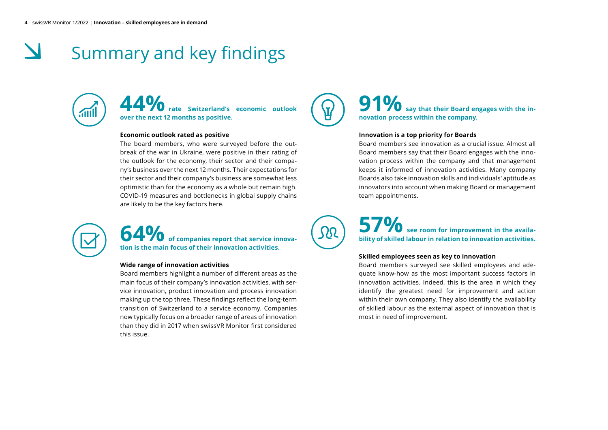# <span id="page-3-0"></span>Summary and key findings

**44% rate Switzerland's economic outlook over the next 12 months as positive.**

#### **Economic outlook rated as positive**

The board members, who were surveyed before the outbreak of the war in Ukraine, were positive in their rating of the outlook for the economy, their sector and their company's business over the next 12 months. Their expectations for their sector and their company's business are somewhat less optimistic than for the economy as a whole but remain high. COVID-19 measures and bottlenecks in global supply chains are likely to be the key factors here.



**64% of companies report that service innovation is the main focus of their innovation activities.**

#### **Wide range of innovation activities**

Board members highlight a number of different areas as the main focus of their company's innovation activities, with service innovation, product innovation and process innovation making up the top three. These findings reflect the long-term transition of Switzerland to a service economy. Companies now typically focus on a broader range of areas of innovation than they did in 2017 when swissVR Monitor first considered this issue.

**91% say that their Board engages with the innovation process within the company.**

#### **Innovation is a top priority for Boards**

Board members see innovation as a crucial issue. Almost all Board members say that their Board engages with the innovation process within the company and that management keeps it informed of innovation activities. Many company Boards also take innovation skills and individuals' aptitude as innovators into account when making Board or management team appointments.



#### **Skilled employees seen as key to innovation**

Board members surveyed see skilled employees and adequate know-how as the most important success factors in innovation activities. Indeed, this is the area in which they identify the greatest need for improvement and action within their own company. They also identify the availability of skilled labour as the external aspect of innovation that is most in need of improvement.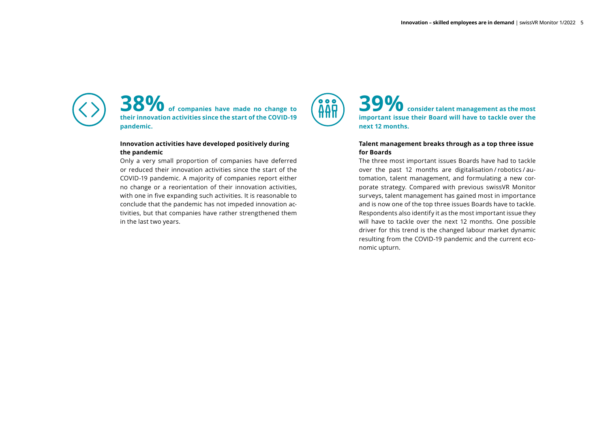### **38% of companies have made no change to their innovation activities since the start of the COVID-19 pandemic.**

#### **Innovation activities have developed positively during the pandemic**

Only a very small proportion of companies have deferred or reduced their innovation activities since the start of the COVID-19 pandemic. A majority of companies report either no change or a reorientation of their innovation activities, with one in five expanding such activities. It is reasonable to conclude that the pandemic has not impeded innovation activities, but that companies have rather strengthened them in the last two years.



### **39% consider talent management as the most important issue their Board will have to tackle over the next 12 months.**

#### **Talent management breaks through as a top three issue for Boards**

The three most important issues Boards have had to tackle over the past 12 months are digitalisation / robotics / automation, talent management, and formulating a new corporate strategy. Compared with previous swissVR Monitor surveys, talent management has gained most in importance and is now one of the top three issues Boards have to tackle. Respondents also identify it as the most important issue they will have to tackle over the next 12 months. One possible driver for this trend is the changed labour market dynamic resulting from the COVID-19 pandemic and the current economic upturn.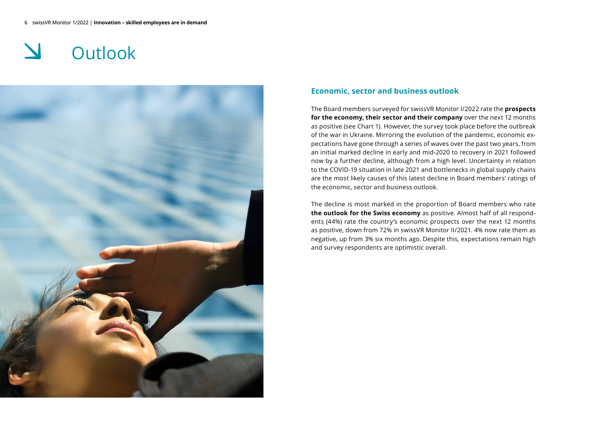## <span id="page-5-0"></span>**Outlook**



#### **Economic, sector and business outlook**

The Board members surveyed for swissVR Monitor I/2022 rate the **prospects for the economy, their sector and their company** over the next 12 months as positive (see Chart 1). However, the survey took place before the outbreak of the war in Ukraine. Mirroring the evolution of the pandemic, economic expectations have gone through a series of waves over the past two years, from an initial marked decline in early and mid-2020 to recovery in 2021 followed now by a further decline, although from a high level. Uncertainty in relation to the COVID-19 situation in late 2021 and bottlenecks in global supply chains are the most likely causes of this latest decline in Board members' ratings of the economic, sector and business outlook.

The decline is most marked in the proportion of Board members who rate **the outlook for the Swiss economy** as positive. Almost half of all respondents (44%) rate the country's economic prospects over the next 12 months as positive, down from 72% in swissVR Monitor II/2021. 4% now rate them as negative, up from 3% six months ago. Despite this, expectations remain high and survey respondents are optimistic overall.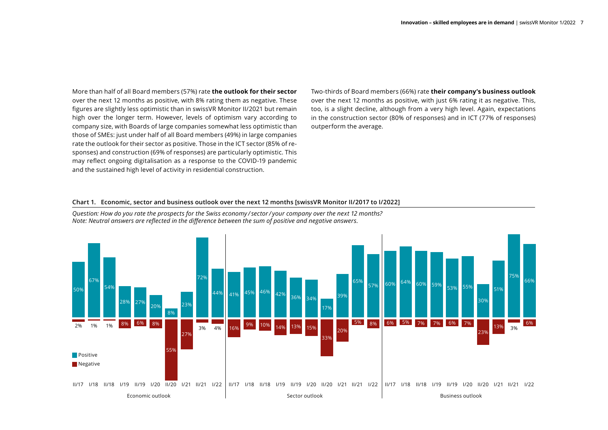More than half of all Board members (57%) rate **the outlook for their sector** over the next 12 months as positive, with 8% rating them as negative. These figures are slightly less optimistic than in swissVR Monitor II/2021 but remain high over the longer term. However, levels of optimism vary according to company size, with Boards of large companies somewhat less optimistic than those of SMEs: just under half of all Board members (49%) in large companies rate the outlook for their sector as positive. Those in the ICT sector (85% of responses) and construction (69% of responses) are particularly optimistic. This may reflect ongoing digitalisation as a response to the COVID-19 pandemic and the sustained high level of activity in residential construction.

Two-thirds of Board members (66%) rate **their company's business outlook** over the next 12 months as positive, with just 6% rating it as negative. This, too, is a slight decline, although from a very high level. Again, expectations in the construction sector (80% of responses) and in ICT (77% of responses) outperform the average.

#### **Chart 1. Economic, sector and business outlook over the next 12 months [swissVR Monitor II/2017 to I/2022]**



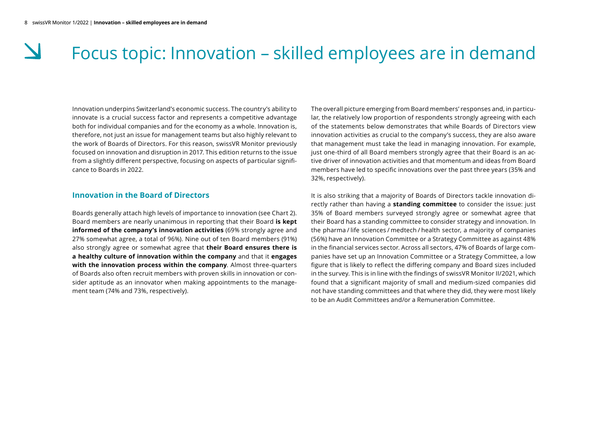## <span id="page-7-0"></span>Focus topic: Innovation – skilled employees are in demand

Innovation underpins Switzerland's economic success. The country's ability to innovate is a crucial success factor and represents a competitive advantage both for individual companies and for the economy as a whole. Innovation is, therefore, not just an issue for management teams but also highly relevant to the work of Boards of Directors. For this reason, swissVR Monitor previously focused on innovation and disruption in 2017. This edition returns to the issue from a slightly different perspective, focusing on aspects of particular significance to Boards in 2022.

#### **Innovation in the Board of Directors**

Boards generally attach high levels of importance to innovation (see Chart 2). Board members are nearly unanimous in reporting that their Board **is kept informed of the company's innovation activities** (69% strongly agree and 27% somewhat agree, a total of 96%). Nine out of ten Board members (91%) also strongly agree or somewhat agree that **their Board ensures there is a healthy culture of innovation within the company** and that it **engages with the innovation process within the company**. Almost three-quarters of Boards also often recruit members with proven skills in innovation or consider aptitude as an innovator when making appointments to the management team (74% and 73%, respectively).

The overall picture emerging from Board members' responses and, in particular, the relatively low proportion of respondents strongly agreeing with each of the statements below demonstrates that while Boards of Directors view innovation activities as crucial to the company's success, they are also aware that management must take the lead in managing innovation. For example, just one-third of all Board members strongly agree that their Board is an active driver of innovation activities and that momentum and ideas from Board members have led to specific innovations over the past three years (35% and 32%, respectively).

It is also striking that a majority of Boards of Directors tackle innovation directly rather than having a **standing committee** to consider the issue: just 35% of Board members surveyed strongly agree or somewhat agree that their Board has a standing committee to consider strategy and innovation. In the pharma / life sciences / medtech / health sector, a majority of companies (56%) have an Innovation Committee or a Strategy Committee as against 48% in the financial services sector. Across all sectors, 47% of Boards of large companies have set up an Innovation Committee or a Strategy Committee, a low figure that is likely to reflect the differing company and Board sizes included in the survey. This is in line with the findings of swissVR Monitor II/2021, which found that a significant majority of small and medium-sized companies did not have standing committees and that where they did, they were most likely to be an Audit Committees and/or a Remuneration Committee.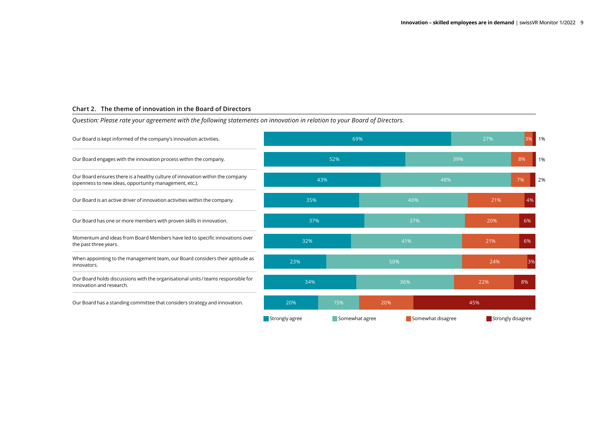### **Chart 2. The theme of innovation in the Board of Directors**

*Question: Please rate your agreement with the following statements on innovation in relation to your Board of Directors.*

| Our Board is kept informed of the company's innovation activities.                                                                      | 69%            |                |     |                   | 27% |     |                   | 1% |
|-----------------------------------------------------------------------------------------------------------------------------------------|----------------|----------------|-----|-------------------|-----|-----|-------------------|----|
| Our Board engages with the innovation process within the company.                                                                       |                | 52%            |     |                   | 39% |     | 8%                | 1% |
| Our Board ensures there is a healthy culture of innovation within the company<br>(openness to new ideas, opportunity management, etc.). | 43%            |                |     | 48%               |     |     | 7%                | 2% |
| Our Board is an active driver of innovation activities within the company.                                                              | 35%            |                | 40% |                   |     | 21% | 4%                |    |
| Our Board has one or more members with proven skills in innovation.                                                                     | 37%            |                | 37% |                   |     | 20% | 6%                |    |
| Momentum and ideas from Board Members have led to specific innovations over<br>the past three years.                                    | 32%            |                |     | 41%               |     | 21% | 6%                |    |
| When appointing to the management team, our Board considers their aptitude as<br>innovators.                                            | 23%            |                | 50% |                   | 24% | 3%  |                   |    |
| Our Board holds discussions with the organisational units / teams responsible for<br>innovation and research.                           | 34%            |                |     | 36%               |     | 22% | 8%                |    |
| Our Board has a standing committee that considers strategy and innovation.                                                              | 20%<br>15%     |                | 20% |                   | 45% |     |                   |    |
|                                                                                                                                         | Strongly agree | Somewhat agree |     | Somewhat disagree |     |     | Strongly disagree |    |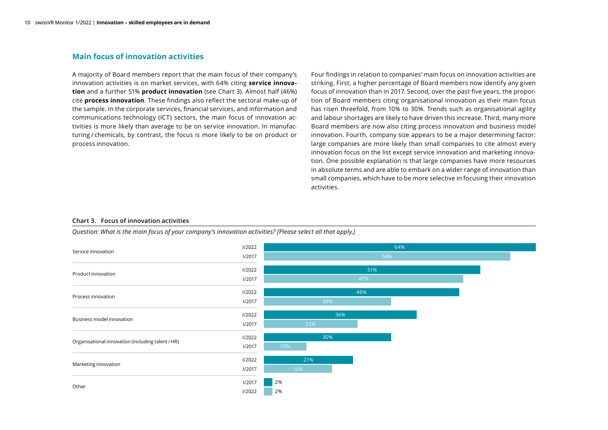#### <span id="page-9-0"></span>**Main focus of innovation activities**

A majority of Board members report that the main focus of their company's innovation activities is on market services, with 64% citing **service innovation** and a further 51% **product innovation** (see Chart 3). Almost half (46%) cite **process innovation**. These findings also reflect the sectoral make-up of the sample. In the corporate services, financial services, and information and communications technology (ICT) sectors, the main focus of innovation activities is more likely than average to be on service innovation. In manufacturing / chemicals, by contrast, the focus is more likely to be on product or process innovation.

Four findings in relation to companies' main focus on innovation activities are striking. First, a higher percentage of Board members now identify any given focus of innovation than in 2017. Second, over the past five years, the proportion of Board members citing organisational innovation as their main focus has risen threefold, from 10% to 30%. Trends such as organisational agility and labour shortages are likely to have driven this increase. Third, many more Board members are now also citing process innovation and business model innovation. Fourth, company size appears to be a major determining factor: large companies are more likely than small companies to cite almost every innovation focus on the list except service innovation and marketing innovation. One possible explanation is that large companies have more resources in absolute terms and are able to embark on a wider range of innovation than small companies, which have to be more selective in focusing their innovation activities.

#### **Chart 3. Focus of innovation activities**

*Question: What is the main focus of your company's innovation activities? [Please select all that apply.]*

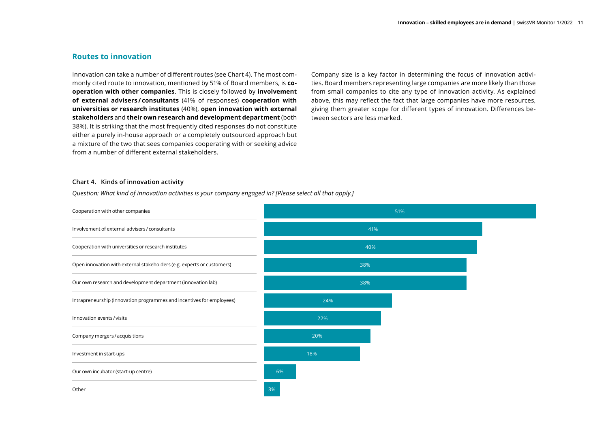#### <span id="page-10-0"></span>**Routes to innovation**

Innovation can take a number of different routes (see Chart 4). The most commonly cited route to innovation, mentioned by 51% of Board members, is **cooperation with other companies**. This is closely followed by **involvement of external advisers / consultants** (41% of responses) **cooperation with universities or research institutes** (40%), **open innovation with external stakeholders** and **their own research and development department** (both 38%). It is striking that the most frequently cited responses do not constitute either a purely in-house approach or a completely outsourced approach but a mixture of the two that sees companies cooperating with or seeking advice from a number of different external stakeholders.

Company size is a key factor in determining the focus of innovation activities. Board members representing large companies are more likely than those from small companies to cite any type of innovation activity. As explained above, this may reflect the fact that large companies have more resources, giving them greater scope for different types of innovation. Differences between sectors are less marked.

#### **Chart 4. Kinds of innovation activity**

*Question: What kind of innovation activities is your company engaged in? [Please select all that apply.]*

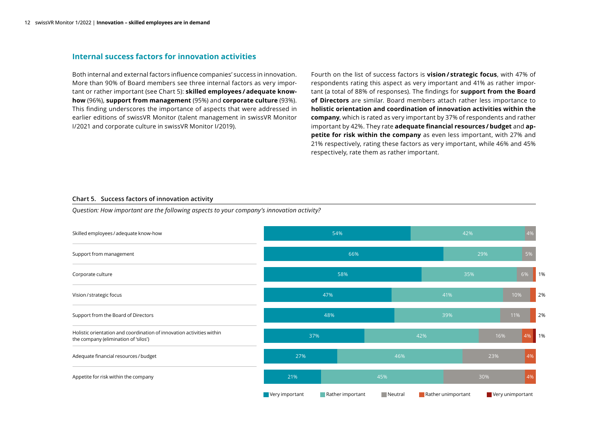#### <span id="page-11-0"></span>**Internal success factors for innovation activities**

Both internal and external factors influence companies' success in innovation. More than 90% of Board members see three internal factors as very important or rather important (see Chart 5): **skilled employees / adequate knowhow** (96%), **support from management** (95%) and **corporate culture** (93%). This finding underscores the importance of aspects that were addressed in earlier editions of swissVR Monitor (talent management in swissVR Monitor I/2021 and corporate culture in swissVR Monitor I/2019).

Fourth on the list of success factors is **vision / strategic focus**, with 47% of respondents rating this aspect as very important and 41% as rather important (a total of 88% of responses). The findings for **support from the Board of Directors** are similar. Board members attach rather less importance to **holistic orientation and coordination of innovation activities within the company**, which is rated as very important by 37% of respondents and rather important by 42%. They rate **adequate financial resources / budget** and **appetite for risk within the company** as even less important, with 27% and 21% respectively, rating these factors as very important, while 46% and 45% respectively, rate them as rather important.

#### **Chart 5. Success factors of innovation activity**

*Question: How important are the following aspects to your company's innovation activity?*

| Skilled employees / adequate know-how                                                                         |                | 54%              |                        |     | 42%                |     |                  |        |
|---------------------------------------------------------------------------------------------------------------|----------------|------------------|------------------------|-----|--------------------|-----|------------------|--------|
| Support from management                                                                                       |                | 66%              |                        |     |                    | 29% | 5%               |        |
| Corporate culture                                                                                             |                | 58%              |                        |     | 35%                |     | 6%               | $ 1\%$ |
| Vision / strategic focus                                                                                      |                | 47%              |                        |     | 41%                |     | 10%              | 2%     |
| Support from the Board of Directors                                                                           |                | 48%              |                        |     | 39%                |     | 11%              | 2%     |
| Holistic orientation and coordination of innovation activities within<br>the company (elimination of 'silos') |                | 37%              |                        | 42% |                    | 16% | 4%               | 1%     |
| Adequate financial resources / budget                                                                         | 27%            |                  |                        | 46% |                    | 23% | 4%               |        |
| Appetite for risk within the company                                                                          | 21%            |                  | 45%                    |     |                    | 30% | 4%               |        |
|                                                                                                               | Very important | Rather important | $\blacksquare$ Neutral |     | Rather unimportant |     | Very unimportant |        |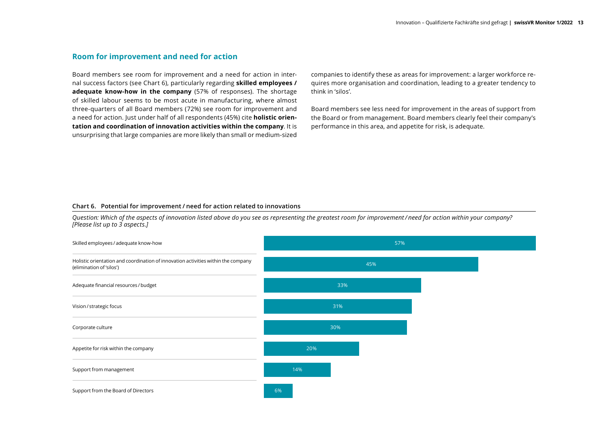#### <span id="page-12-0"></span>**Room for improvement and need for action**

Board members see room for improvement and a need for action in internal success factors (see Chart 6), particularly regarding **skilled employees / adequate know-how in the company** (57% of responses). The shortage of skilled labour seems to be most acute in manufacturing, where almost three-quarters of all Board members (72%) see room for improvement and a need for action. Just under half of all respondents (45%) cite **holistic orientation and coordination of innovation activities within the company**. It is unsurprising that large companies are more likely than small or medium-sized companies to identify these as areas for improvement: a larger workforce requires more organisation and coordination, leading to a greater tendency to think in 'silos'.

Board members see less need for improvement in the areas of support from the Board or from management. Board members clearly feel their company's performance in this area, and appetite for risk, is adequate.

#### **Chart 6. Potential for improvement / need for action related to innovations**

*Question: Which of the aspects of innovation listed above do you see as representing the greatest room for improvement / need for action within your company? [Please list up to 3 aspects.]*

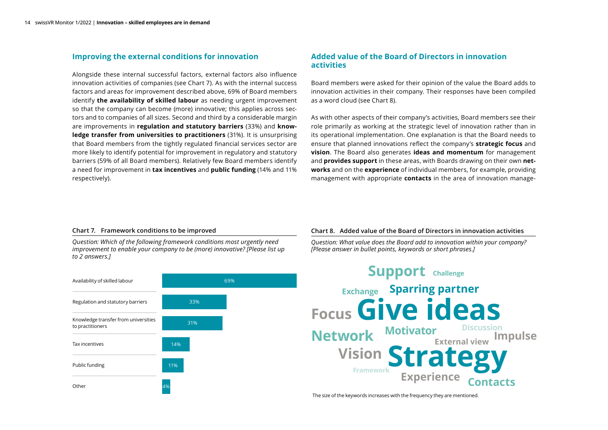#### <span id="page-13-0"></span>**Improving the external conditions for innovation**

Alongside these internal successful factors, external factors also influence innovation activities of companies (see Chart 7). As with the internal success factors and areas for improvement described above, 69% of Board members identify **the availability of skilled labour** as needing urgent improvement so that the company can become (more) innovative; this applies across sectors and to companies of all sizes. Second and third by a considerable margin are improvements in **regulation and statutory barriers** (33%) and **knowledge transfer from universities to practitioners** (31%). It is unsurprising that Board members from the tightly regulated financial services sector are more likely to identify potential for improvement in regulatory and statutory barriers (59% of all Board members). Relatively few Board members identify a need for improvement in **tax incentives** and **public funding** (14% and 11% respectively).

#### **Added value of the Board of Directors in innovation activities**

Board members were asked for their opinion of the value the Board adds to innovation activities in their company. Their responses have been compiled as a word cloud (see Chart 8).

As with other aspects of their company's activities, Board members see their role primarily as working at the strategic level of innovation rather than in its operational implementation. One explanation is that the Board needs to ensure that planned innovations reflect the company's **strategic focus** and **vision**. The Board also generates **ideas and momentum** for management and **provides support** in these areas, with Boards drawing on their own **networks** and on the **experience** of individual members, for example, providing management with appropriate **contacts** in the area of innovation manage-

#### **Chart 7. Framework conditions to be improved**

*Question: Which of the following framework conditions most urgently need improvement to enable your company to be (more) innovative? [Please list up to 2 answers.]*



#### **Chart 8. Added value of the Board of Directors in innovation activities**

*Question: What value does the Board add to innovation within your company? [Please answer in bullet points, keywords or short phrases.]*



The size of the keywords increases with the frequency they are mentioned.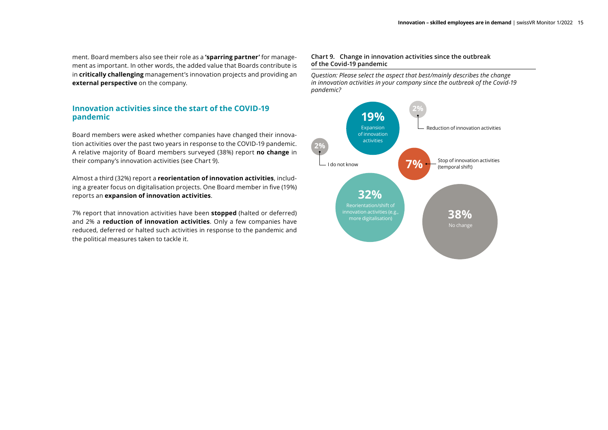<span id="page-14-0"></span>ment. Board members also see their role as a **'sparring partner'** for management as important. In other words, the added value that Boards contribute is in **critically challenging** management's innovation projects and providing an **external perspective** on the company.

### **Innovation activities since the start of the COVID-19 pandemic**

Board members were asked whether companies have changed their innovation activities over the past two years in response to the COVID-19 pandemic. A relative majority of Board members surveyed (38%) report **no change** in their company's innovation activities (see Chart 9).

Almost a third (32%) report a **reorientation of innovation activities**, including a greater focus on digitalisation projects. One Board member in five (19%) reports an **expansion of innovation activities**.

7% report that innovation activities have been **stopped** (halted or deferred) and 2% a **reduction of innovation activities**. Only a few companies have reduced, deferred or halted such activities in response to the pandemic and the political measures taken to tackle it.

#### **Chart 9. Change in innovation activities since the outbreak of the Covid-19 pandemic**

*Question: Please select the aspect that best/mainly describes the change in innovation activities in your company since the outbreak of the Covid-19 pandemic?*

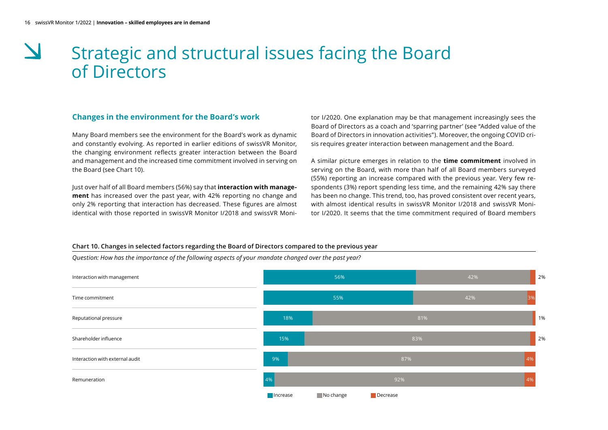### <span id="page-15-0"></span>Strategic and structural issues facing the Board of Directors

#### **Changes in the environment for the Board's work**

Many Board members see the environment for the Board's work as dynamic and constantly evolving. As reported in earlier editions of swissVR Monitor, the changing environment reflects greater interaction between the Board and management and the increased time commitment involved in serving on the Board (see Chart 10).

Just over half of all Board members (56%) say that **interaction with management** has increased over the past year, with 42% reporting no change and only 2% reporting that interaction has decreased. These figures are almost identical with those reported in swissVR Monitor I/2018 and swissVR Monitor I/2020. One explanation may be that management increasingly sees the Board of Directors as a coach and 'sparring partner' (see "Added value of the Board of Directors in innovation activities"). Moreover, the ongoing COVID crisis requires greater interaction between management and the Board.

A similar picture emerges in relation to the **time commitment** involved in serving on the Board, with more than half of all Board members surveyed (55%) reporting an increase compared with the previous year. Very few respondents (3%) report spending less time, and the remaining 42% say there has been no change. This trend, too, has proved consistent over recent years, with almost identical results in swissVR Monitor I/2018 and swissVR Monitor I/2020. It seems that the time commitment required of Board members

#### **Chart 10. Changes in selected factors regarding the Board of Directors compared to the previous year**

*Question: How has the importance of the following aspects of your mandate changed over the past year?*

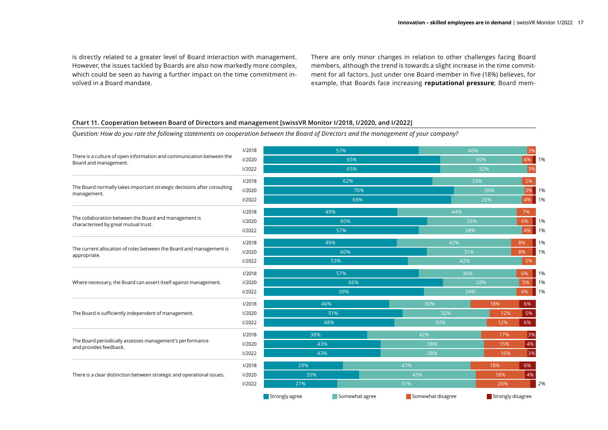is directly related to a greater level of Board interaction with management. However, the issues tackled by Boards are also now markedly more complex, which could be seen as having a further impact on the time commitment involved in a Board mandate.

There are only minor changes in relation to other challenges facing Board members, although the trend is towards a slight increase in the time commitment for all factors. Just under one Board member in five (18%) believes, for example, that Boards face increasing **reputational pressure**; Board mem-

#### **Chart 11. Cooperation between Board of Directors and management [swissVR Monitor I/2018, I/2020, and I/2022]**

*Question: How do you rate the following statements on cooperation between the Board of Directors and the management of your company?*

|                                                                                               | I/2018        | 57%                              |                   | 40%        |                   |    |    |
|-----------------------------------------------------------------------------------------------|---------------|----------------------------------|-------------------|------------|-------------------|----|----|
| There is a culture of open information and communication between the<br>Board and management. |               | 65%                              | 30%               |            | 4%                | 1% |    |
|                                                                                               |               | 65%                              | 32%               |            | 3%                |    |    |
|                                                                                               |               | 62%                              | 33%               |            | 5%                |    |    |
| The Board normally takes important strategic decisions after consulting                       | <b>I/2020</b> | 70%                              | 26%               |            | 3%                | 1% |    |
| management.                                                                                   | <b>I/2022</b> | 69%                              | 26%               |            | 4%                | 1% |    |
|                                                                                               | <b>I/2018</b> | 49%                              |                   | 44%        |                   | 7% |    |
| The collaboration between the Board and management is                                         | <b>I/2020</b> | 60%                              |                   | 33%        |                   | 6% | 1% |
| characterised by great mutual trust.                                                          | <b>I/2022</b> | 57%                              |                   | 38%        |                   |    | 1% |
|                                                                                               | <b>I/2018</b> | 49%                              |                   | 42%        |                   | 8% | 1% |
| The current allocation of roles between the Board and management is                           | <b>I/2020</b> | 60%                              | 31%               |            | 8%                | 1% |    |
| appropriate.                                                                                  | I/2022        | 53%                              | 42%               |            | 5%                |    |    |
|                                                                                               | <b>I/2018</b> | 57%                              | 36%               |            | 6%                | 1% |    |
| Where necessary, the Board can assert itself against management.                              | <b>I/2020</b> | 66%                              | 28%               |            | 5%                | 1% |    |
|                                                                                               | <b>I/2022</b> | 59%                              |                   | 34%        |                   | 6% | 1% |
| The Board is sufficiently independent of management.                                          |               | 46%                              |                   | 30%        | 18%               | 6% |    |
|                                                                                               |               | 51%                              | 32%               |            | 12%               | 5% |    |
|                                                                                               |               | 48%                              | 34%               |            | 12%               | 6% |    |
|                                                                                               | I/2018        | 38%                              | 42%               |            | 17%               | 3% |    |
| The Board periodically assesses management's performance                                      | <b>I/2020</b> | 43%                              |                   | 15%<br>38% |                   | 4% |    |
| and provides feedback.                                                                        | <b>I/2022</b> | 43%                              |                   | 38%<br>16% |                   | 3% |    |
|                                                                                               | I/2018        | 29%                              | 47%               |            | 18%               | 6% |    |
| There is a clear distinction between strategic and operational issues.                        | <b>I/2020</b> | 35%                              | 43%               |            | 18%               | 4% |    |
|                                                                                               | I/2022        | 27%                              | 51%               |            | 20%               |    | 2% |
|                                                                                               |               | Strongly agree<br>Somewhat agree | Somewhat disagree |            | Strongly disagree |    |    |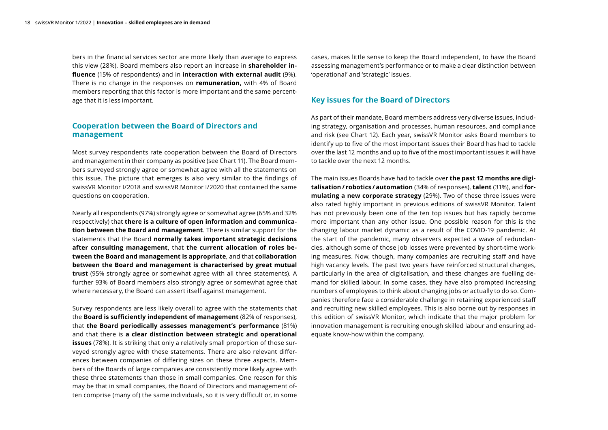<span id="page-17-0"></span>bers in the financial services sector are more likely than average to express this view (28%). Board members also report an increase in **shareholder influence** (15% of respondents) and in **interaction with external audit** (9%). There is no change in the responses on **remuneration,** with 4% of Board members reporting that this factor is more important and the same percentage that it is less important.

#### **Cooperation between the Board of Directors and management**

Most survey respondents rate cooperation between the Board of Directors and management in their company as positive (see Chart 11). The Board members surveyed strongly agree or somewhat agree with all the statements on this issue. The picture that emerges is also very similar to the findings of swissVR Monitor I/2018 and swissVR Monitor I/2020 that contained the same questions on cooperation.

Nearly all respondents (97%) strongly agree or somewhat agree (65% and 32% respectively) that **there is a culture of open information and communication between the Board and management**. There is similar support for the statements that the Board **normally takes important strategic decisions after consulting management**, that **the current allocation of roles between the Board and management is appropriate**, and that **collaboration between the Board and management is characterised by great mutual trust** (95% strongly agree or somewhat agree with all three statements). A further 93% of Board members also strongly agree or somewhat agree that where necessary, the Board can assert itself against management.

Survey respondents are less likely overall to agree with the statements that the **Board is sufficiently independent of management** (82% of responses), that **the Board periodically assesses management's performance** (81%) and that there is **a clear distinction between strategic and operational issues** (78%). It is striking that only a relatively small proportion of those surveyed strongly agree with these statements. There are also relevant differences between companies of differing sizes on these three aspects. Members of the Boards of large companies are consistently more likely agree with these three statements than those in small companies. One reason for this may be that in small companies, the Board of Directors and management often comprise (many of) the same individuals, so it is very difficult or, in some cases, makes little sense to keep the Board independent, to have the Board assessing management's performance or to make a clear distinction between 'operational' and 'strategic' issues.

#### **Key issues for the Board of Directors**

As part of their mandate, Board members address very diverse issues, including strategy, organisation and processes, human resources, and compliance and risk (see Chart 12). Each year, swissVR Monitor asks Board members to identify up to five of the most important issues their Board has had to tackle over the last 12 months and up to five of the most important issues it will have to tackle over the next 12 months.

The main issues Boards have had to tackle ove**r the past 12 months are digitalisation / robotics / automation** (34% of responses), **talent** (31%), and **formulating a new corporate strategy** (29%). Two of these three issues were also rated highly important in previous editions of swissVR Monitor. Talent has not previously been one of the ten top issues but has rapidly become more important than any other issue. One possible reason for this is the changing labour market dynamic as a result of the COVID-19 pandemic. At the start of the pandemic, many observers expected a wave of redundancies, although some of those job losses were prevented by short-time working measures. Now, though, many companies are recruiting staff and have high vacancy levels. The past two years have reinforced structural changes, particularly in the area of digitalisation, and these changes are fuelling demand for skilled labour. In some cases, they have also prompted increasing numbers of employees to think about changing jobs or actually to do so. Companies therefore face a considerable challenge in retaining experienced staff and recruiting new skilled employees. This is also borne out by responses in this edition of swissVR Monitor, which indicate that the major problem for innovation management is recruiting enough skilled labour and ensuring adequate know-how within the company.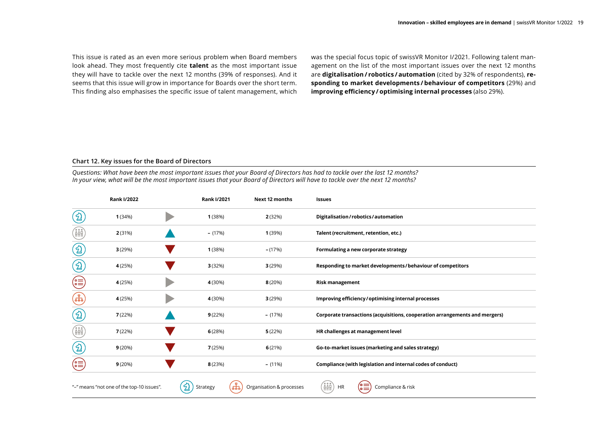This issue is rated as an even more serious problem when Board members look ahead. They most frequently cite **talent** as the most important issue they will have to tackle over the next 12 months (39% of responses). And it seems that this issue will grow in importance for Boards over the short term. This finding also emphasises the specific issue of talent management, which was the special focus topic of swissVR Monitor I/2021. Following talent management on the list of the most important issues over the next 12 months are **digitalisation / robotics / automation** (cited by 32% of respondents), **responding to market developments / behaviour of competitors** (29%) and **improving efficiency / optimising internal processes** (also 29%).

#### **Chart 12. Key issues for the Board of Directors**

*Questions: What have been the most important issues that your Board of Directors has had to tackle over the last 12 months? In your view, what will be the most important issues that your Board of Directors will have to tackle over the next 12 months?*

|                    | <b>Rank I/2022</b>                        |     | <b>Rank I/2021</b> | Next 12 months           | <b>Issues</b>                                                                                                             |
|--------------------|-------------------------------------------|-----|--------------------|--------------------------|---------------------------------------------------------------------------------------------------------------------------|
| $\mathbf{\hat{2}}$ | 1(34%)                                    |     | 1(38%)             | 2(32%)                   | Digitalisation/robotics/automation                                                                                        |
| <b>AAR</b>         | 2(31%)                                    |     | $- (17%)$          | 1 (39%)                  | Talent (recruitment, retention, etc.)                                                                                     |
| $\left( 2\right)$  | 3(29%)                                    |     | 1(38%)             | $-(17%)$                 | Formulating a new corporate strategy                                                                                      |
| $\mathbf{\hat{2}}$ | 4 (25%)                                   |     | 3(32%)             | 3(29%)                   | Responding to market developments/behaviour of competitors                                                                |
| (≔)                | 4 (25%)                                   |     | 4 (30%)            | 8(20%)                   | <b>Risk management</b>                                                                                                    |
| (ቔ)                | 4 (25%)                                   |     | 4 (30%)            | 3(29%)                   | Improving efficiency/optimising internal processes                                                                        |
| $\left( 2\right)$  | 7(22%)                                    |     | 9(22%)             | $- (17%)$                | Corporate transactions (acquisitions, cooperation arrangements and mergers)                                               |
| <b>AAA</b>         | 7(22%)                                    |     | 6(28%)             | 5(22%)                   | HR challenges at management level                                                                                         |
| $\Omega$           | 9(20%)                                    |     | 7(25%)             | 6(21%)                   | Go-to-market issues (marketing and sales strategy)                                                                        |
| (;≡\$              | 9(20%)                                    |     | 8(23%)             | $- (11\%)$               | Compliance (with legislation and internal codes of conduct)                                                               |
|                    | "-" means "not one of the top-10 issues". | ′公. | 만<br>Strategy      | Organisation & processes | $\left(\begin{smallmatrix} 0 & 0 & 0 \\ 0 & 0 & 0 \\ 0 & 0 & 0 \end{smallmatrix}\right)$<br>Œο<br>HR<br>Compliance & risk |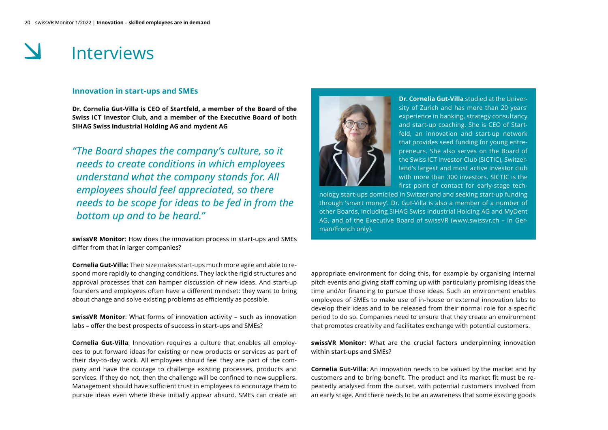### <span id="page-19-0"></span>Interviews

### **Innovation in start-ups and SMEs**

**Dr. Cornelia Gut-Villa is CEO of Startfeld, a member of the Board of the Swiss ICT Investor Club, and a member of the Executive Board of both SIHAG Swiss Industrial Holding AG and mydent AG**

*"The Board shapes the company's culture, so it needs to create conditions in which employees understand what the company stands for. All employees should feel appreciated, so there needs to be scope for ideas to be fed in from the bottom up and to be heard."*

**swissVR Monitor**: How does the innovation process in start-ups and SMEs differ from that in larger companies?

**Cornelia Gut-Villa**: Their size makes start-ups much more agile and able to respond more rapidly to changing conditions. They lack the rigid structures and approval processes that can hamper discussion of new ideas. And start-up founders and employees often have a different mindset: they want to bring about change and solve existing problems as efficiently as possible.

**swissVR Monitor**: What forms of innovation activity – such as innovation labs – offer the best prospects of success in start-ups and SMEs?

**Cornelia Gut-Villa**: Innovation requires a culture that enables all employees to put forward ideas for existing or new products or services as part of their day-to-day work. All employees should feel they are part of the company and have the courage to challenge existing processes, products and services. If they do not, then the challenge will be confined to new suppliers. Management should have sufficient trust in employees to encourage them to pursue ideas even where these initially appear absurd. SMEs can create an



**Dr. Cornelia Gut-Villa** studied at the University of Zurich and has more than 20 years' experience in banking, strategy consultancy and start-up coaching. She is CEO of Startfeld, an innovation and start-up network that provides seed funding for young entrepreneurs. She also serves on the Board of the [Swiss ICT Investor Club \(SICTIC\)](https://www.sictic.ch/), Switzerland's largest and most active investor club with more than 300 investors. SICTIC is the first point of contact for early-stage tech-

nology start-ups domiciled in Switzerland and seeking start-up funding through 'smart money'. Dr. Gut-Villa is also a member of a number of other Boards, including SIHAG Swiss Industrial Holding AG and MyDent AG, and of the Executive Board of swissVR ([www.swissvr.ch](http://www.swissvr.ch) – in German/French only).

appropriate environment for doing this, for example by organising internal pitch events and giving staff coming up with particularly promising ideas the time and/or financing to pursue those ideas. Such an environment enables employees of SMEs to make use of in-house or external innovation labs to develop their ideas and to be released from their normal role for a specific period to do so. Companies need to ensure that they create an environment that promotes creativity and facilitates exchange with potential customers.

**swissVR Monitor**: What are the crucial factors underpinning innovation within start-ups and SMEs?

**Cornelia Gut-Villa**: An innovation needs to be valued by the market and by customers and to bring benefit. The product and its market fit must be repeatedly analysed from the outset, with potential customers involved from an early stage. And there needs to be an awareness that some existing goods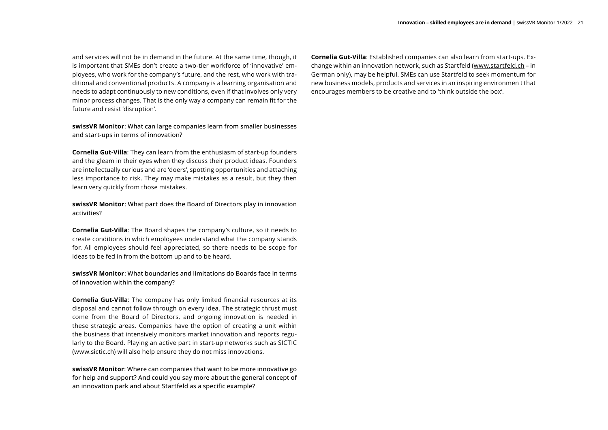and services will not be in demand in the future. At the same time, though, it is important that SMEs don't create a two-tier workforce of 'innovative' employees, who work for the company's future, and the rest, who work with traditional and conventional products. A company is a learning organisation and needs to adapt continuously to new conditions, even if that involves only very minor process changes. That is the only way a company can remain fit for the future and resist 'disruption'.

**swissVR Monitor**: What can large companies learn from smaller businesses and start-ups in terms of innovation?

**Cornelia Gut-Villa**: They can learn from the enthusiasm of start-up founders and the gleam in their eyes when they discuss their product ideas. Founders are intellectually curious and are 'doers', spotting opportunities and attaching less importance to risk. They may make mistakes as a result, but they then learn very quickly from those mistakes.

**swissVR Monitor**: What part does the Board of Directors play in innovation activities?

**Cornelia Gut-Villa**: The Board shapes the company's culture, so it needs to create conditions in which employees understand what the company stands for. All employees should feel appreciated, so there needs to be scope for ideas to be fed in from the bottom up and to be heard.

**swissVR Monitor**: What boundaries and limitations do Boards face in terms of innovation within the company?

**Cornelia Gut-Villa**: The company has only limited financial resources at its disposal and cannot follow through on every idea. The strategic thrust must come from the Board of Directors, and ongoing innovation is needed in these strategic areas. Companies have the option of creating a unit within the business that intensively monitors market innovation and reports regularly to the Board. Playing an active part in start-up networks such as SICTIC ([www.sictic.ch\)](http://www.sictic.ch) will also help ensure they do not miss innovations.

**swissVR Monitor**: Where can companies that want to be more innovative go for help and support? And could you say more about the general concept of an innovation park and about Startfeld as a specific example?

**Cornelia Gut-Villa**: Established companies can also learn from start-ups. Exchange within an innovation network, such as Startfeld ([www.startfeld.ch](http://www.startfeld.ch) – in German only), may be helpful. SMEs can use Startfeld to seek momentum for new business models, products and services in an inspiring environmen t that encourages members to be creative and to 'think outside the box'.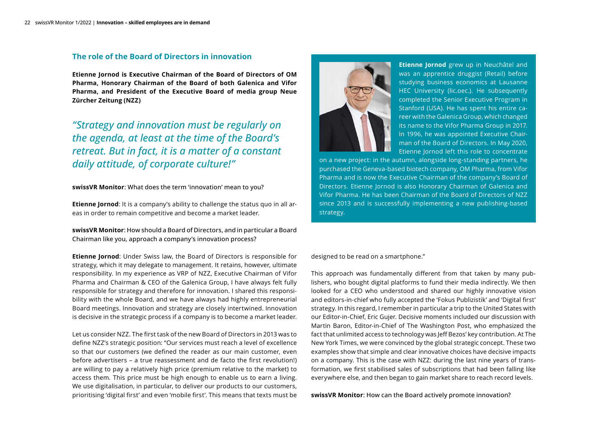#### **The role of the Board of Directors in innovation**

**Etienne Jornod is Executive Chairman of the Board of Directors of OM Pharma, Honorary Chairman of the Board of both Galenica and Vifor Pharma, and President of the Executive Board of media group Neue Zürcher Zeitung (NZZ)**

*"Strategy and innovation must be regularly on the agenda, at least at the time of the Board's retreat. But in fact, it is a matter of a constant daily attitude, of corporate culture!"*

**swissVR Monitor**: What does the term 'innovation' mean to you?

**Etienne Jornod**: It is a company's ability to challenge the status quo in all areas in order to remain competitive and become a market leader.

**swissVR Monitor**: How should a Board of Directors, and in particular a Board Chairman like you, approach a company's innovation process?

**Etienne Jornod**: Under Swiss law, the Board of Directors is responsible for strategy, which it may delegate to management. It retains, however, ultimate responsibility. In my experience as VRP of NZZ, Executive Chairman of Vifor Pharma and Chairman & CEO of the Galenica Group, I have always felt fully responsible for strategy and therefore for innovation. I shared this responsibility with the whole Board, and we have always had highly entrepreneurial Board meetings. Innovation and strategy are closely intertwined. Innovation is decisive in the strategic process if a company is to become a market leader.

Let us consider NZZ. The first task of the new Board of Directors in 2013 was to define NZZ's strategic position: "Our services must reach a level of excellence so that our customers (we defined the reader as our main customer, even before advertisers – a true reassessment and de facto the first revolution!) are willing to pay a relatively high price (premium relative to the market) to access them. This price must be high enough to enable us to earn a living. We use digitalisation, in particular, to deliver our products to our customers, prioritising 'digital first' and even 'mobile first'. This means that texts must be



**Etienne Jornod** grew up in Neuchâtel and was an apprentice druggist (Retail) before studying business economics at Lausanne HEC University (lic.oec.). He subsequently completed the Senior Executive Program in Stanford (USA). He has spent his entire career with the Galenica Group, which changed its name to the Vifor Pharma Group in 2017. In 1996, he was appointed Executive Chairman of the Board of Directors. In May 2020, Etienne Jornod left this role to concentrate

on a new project: in the autumn, alongside long-standing partners, he purchased the Geneva-based biotech company, OM Pharma, from Vifor Pharma and is now the Executive Chairman of the company's Board of Directors. Etienne Jornod is also Honorary Chairman of Galenica and Vifor Pharma. He has been Chairman of the Board of Directors of NZZ since 2013 and is successfully implementing a new publishing-based strategy.

designed to be read on a smartphone."

This approach was fundamentally different from that taken by many publishers, who bought digital platforms to fund their media indirectly. We then looked for a CEO who understood and shared our highly innovative vision and editors-in-chief who fully accepted the 'Fokus Publizistik' and 'Digital first' strategy. In this regard, I remember in particular a trip to the United States with our Editor-in-Chief, Eric Gujer. Decisive moments included our discussion with Martin Baron, Editor-in-Chief of The Washington Post, who emphasized the fact that unlimited access to technology was Jeff Bezos' key contribution. At The New York Times, we were convinced by the global strategic concept. These two examples show that simple and clear innovative choices have decisive impacts on a company. This is the case with NZZ: during the last nine years of transformation, we first stabilised sales of subscriptions that had been falling like everywhere else, and then began to gain market share to reach record levels.

**swissVR Monitor**: How can the Board actively promote innovation?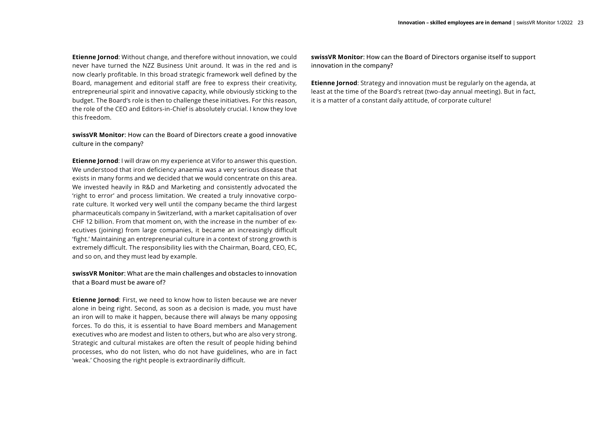**Etienne Jornod**: Without change, and therefore without innovation, we could never have turned the NZZ Business Unit around. It was in the red and is now clearly profitable. In this broad strategic framework well defined by the Board, management and editorial staff are free to express their creativity, entrepreneurial spirit and innovative capacity, while obviously sticking to the budget. The Board's role is then to challenge these initiatives. For this reason, the role of the CEO and Editors-in-Chief is absolutely crucial. I know they love this freedom.

#### **swissVR Monitor**: How can the Board of Directors create a good innovative culture in the company?

**Etienne Jornod**: I will draw on my experience at Vifor to answer this question. We understood that iron deficiency anaemia was a very serious disease that exists in many forms and we decided that we would concentrate on this area. We invested heavily in R&D and Marketing and consistently advocated the 'right to error' and process limitation. We created a truly innovative corporate culture. It worked very well until the company became the third largest pharmaceuticals company in Switzerland, with a market capitalisation of over CHF 12 billion. From that moment on, with the increase in the number of executives (joining) from large companies, it became an increasingly difficult 'fight.' Maintaining an entrepreneurial culture in a context of strong growth is extremely difficult. The responsibility lies with the Chairman, Board, CEO, EC, and so on, and they must lead by example.

#### **swissVR Monitor**: What are the main challenges and obstacles to innovation that a Board must be aware of?

**Etienne Jornod**: First, we need to know how to listen because we are never alone in being right. Second, as soon as a decision is made, you must have an iron will to make it happen, because there will always be many opposing forces. To do this, it is essential to have Board members and Management executives who are modest and listen to others, but who are also very strong. Strategic and cultural mistakes are often the result of people hiding behind processes, who do not listen, who do not have guidelines, who are in fact 'weak.' Choosing the right people is extraordinarily difficult.

**swissVR Monitor**: How can the Board of Directors organise itself to support innovation in the company?

**Etienne Jornod**: Strategy and innovation must be regularly on the agenda, at least at the time of the Board's retreat (two-day annual meeting). But in fact, it is a matter of a constant daily attitude, of corporate culture!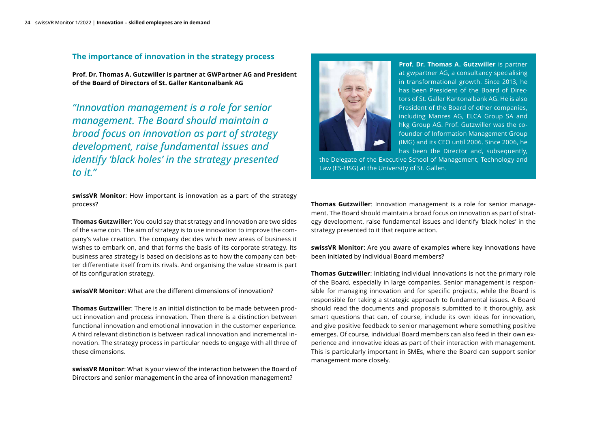#### **The importance of innovation in the strategy process**

**Prof. Dr. Thomas A. Gutzwiller is partner at GWPartner AG and President of the Board of Directors of St. Galler Kantonalbank AG**

*"Innovation management is a role for senior management. The Board should maintain a broad focus on innovation as part of strategy development, raise fundamental issues and identify 'black holes' in the strategy presented to it."*

**swissVR Monitor**: How important is innovation as a part of the strategy process?

**Thomas Gutzwiller**: You could say that strategy and innovation are two sides of the same coin. The aim of strategy is to use innovation to improve the company's value creation. The company decides which new areas of business it wishes to embark on, and that forms the basis of its corporate strategy. Its business area strategy is based on decisions as to how the company can better differentiate itself from its rivals. And organising the value stream is part of its configuration strategy.

#### **swissVR Monitor**: What are the different dimensions of innovation?

**Thomas Gutzwiller**: There is an initial distinction to be made between product innovation and process innovation. Then there is a distinction between functional innovation and emotional innovation in the customer experience. A third relevant distinction is between radical innovation and incremental innovation. The strategy process in particular needs to engage with all three of these dimensions.

**swissVR Monitor**: What is your view of the interaction between the Board of Directors and senior management in the area of innovation management?



**Prof. Dr. Thomas A. Gutzwiller** is partner at gwpartner AG, a consultancy specialising in transformational growth. Since 2013, he has been President of the Board of Directors of St. Galler Kantonalbank AG. He is also President of the Board of other companies, including Manres AG, ELCA Group SA and hkg Group AG. Prof. Gutzwiller was the cofounder of Information Management Group (IMG) and its CEO until 2006. Since 2006, he has been the Director and, subsequently,

the Delegate of the Executive School of Management, Technology and Law (ES-HSG) at the University of St. Gallen.

**Thomas Gutzwiller**: Innovation management is a role for senior management. The Board should maintain a broad focus on innovation as part of strategy development, raise fundamental issues and identify 'black holes' in the strategy presented to it that require action.

**swissVR Monitor**: Are you aware of examples where key innovations have been initiated by individual Board members?

**Thomas Gutzwiller**: Initiating individual innovations is not the primary role of the Board, especially in large companies. Senior management is responsible for managing innovation and for specific projects, while the Board is responsible for taking a strategic approach to fundamental issues. A Board should read the documents and proposals submitted to it thoroughly, ask smart questions that can, of course, include its own ideas for innovation, and give positive feedback to senior management where something positive emerges. Of course, individual Board members can also feed in their own experience and innovative ideas as part of their interaction with management. This is particularly important in SMEs, where the Board can support senior management more closely.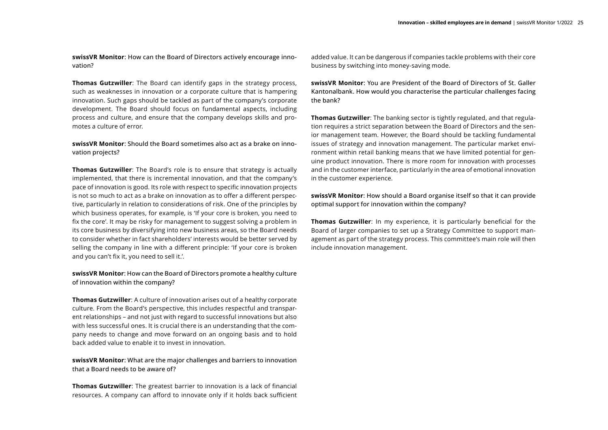**swissVR Monitor**: How can the Board of Directors actively encourage innovation?

**Thomas Gutzwiller**: The Board can identify gaps in the strategy process, such as weaknesses in innovation or a corporate culture that is hampering innovation. Such gaps should be tackled as part of the company's corporate development. The Board should focus on fundamental aspects, including process and culture, and ensure that the company develops skills and promotes a culture of error.

**swissVR Monitor**: Should the Board sometimes also act as a brake on innovation projects?

**Thomas Gutzwiller**: The Board's role is to ensure that strategy is actually implemented, that there is incremental innovation, and that the company's pace of innovation is good. Its role with respect to specific innovation projects is not so much to act as a brake on innovation as to offer a different perspective, particularly in relation to considerations of risk. One of the principles by which business operates, for example, is 'If your core is broken, you need to fix the core'. It may be risky for management to suggest solving a problem in its core business by diversifying into new business areas, so the Board needs to consider whether in fact shareholders' interests would be better served by selling the company in line with a different principle: 'If your core is broken and you can't fix it, you need to sell it.'.

**swissVR Monitor**: How can the Board of Directors promote a healthy culture of innovation within the company?

**Thomas Gutzwiller**: A culture of innovation arises out of a healthy corporate culture. From the Board's perspective, this includes respectful and transparent relationships – and not just with regard to successful innovations but also with less successful ones. It is crucial there is an understanding that the company needs to change and move forward on an ongoing basis and to hold back added value to enable it to invest in innovation.

**swissVR Monitor**: What are the major challenges and barriers to innovation that a Board needs to be aware of?

**Thomas Gutzwiller**: The greatest barrier to innovation is a lack of financial resources. A company can afford to innovate only if it holds back sufficient added value. It can be dangerous if companies tackle problems with their core business by switching into money-saving mode.

**swissVR Monitor**: You are President of the Board of Directors of St. Galler Kantonalbank. How would you characterise the particular challenges facing the bank?

**Thomas Gutzwiller**: The banking sector is tightly regulated, and that regulation requires a strict separation between the Board of Directors and the senior management team. However, the Board should be tackling fundamental issues of strategy and innovation management. The particular market environment within retail banking means that we have limited potential for genuine product innovation. There is more room for innovation with processes and in the customer interface, particularly in the area of emotional innovation in the customer experience.

**swissVR Monitor**: How should a Board organise itself so that it can provide optimal support for innovation within the company?

**Thomas Gutzwiller**: In my experience, it is particularly beneficial for the Board of larger companies to set up a Strategy Committee to support management as part of the strategy process. This committee's main role will then include innovation management.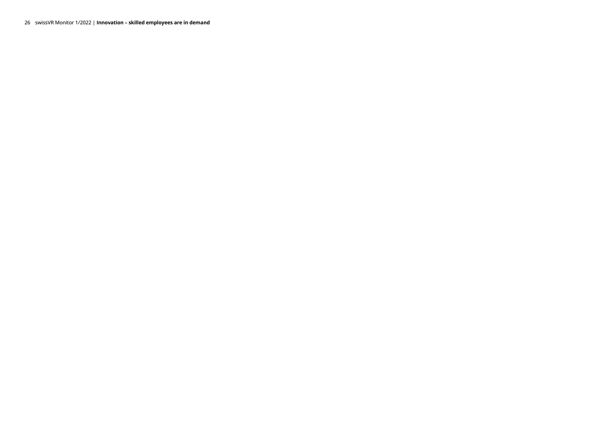26 swissVR Monitor 1/2022 | **Innovation – skilled employees are in demand**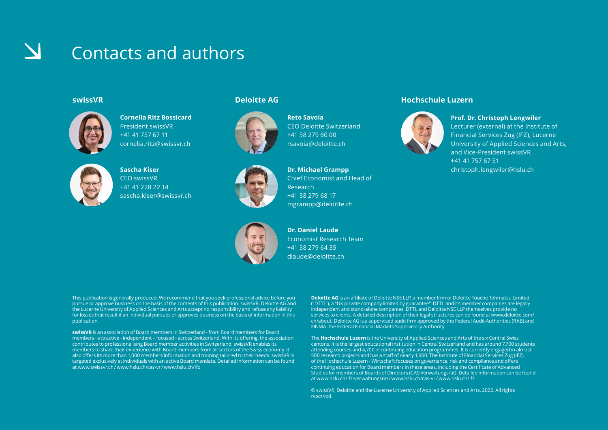# <span id="page-26-0"></span>Contacts and authors



**Cornelia Ritz Bossicard** President swissVR +41 41 757 67 11 cornelia.ritz@swissvr.ch



CEO swissVR +41 41 228 22 14 sascha.kiser@swissvr.ch

**Sascha Kiser**



**Reto Savoia** CEO Deloitte Switzerland +41 58 279 60 00 rsavoia@deloitte.ch



**Dr. Michael Grampp** Chief Economist and Head of Research +41 58 279 68 17 mgrampp@deloitte.ch



**Dr. Daniel Laude** Economist Research Team +41 58 279 64 35 dlaude@deloitte.ch

#### **swissVR Deloitte AG Hochschule Luzern**



#### **Prof. Dr. Christoph Lengwiler**

Lecturer (external) at the Institute of Financial Services Zug (IFZ), Lucerne University of Applied Sciences and Arts, and Vice-President swissVR +41 41 757 67 51 christoph.lengwiler@hslu.ch

This publication is generally produced. We recommend that you seek professional advice before you pursue or approve business on the basis of the contents of this publication. swissVR, Deloitte AG and the Lucerne University of Applied Sciences and Arts accept no responsibility and refuse any liability for losses that result if an individual pursues or approves business on the basis of information in this publication.

**swissVR** is an association of Board members in Switzerland - from Board members for Board members - attractive - independent – focused - across Switzerland. With its offering, the association contributes to professionalising Board member activities in Switzerland. swissVR enables its members to share their experience with Board members from all sectors of the Swiss economy. It also offers its more than 1,000 members information and training tailored to their needs. swissVR is targeted exclusively at individuals with an active Board mandate. Detailed information can be found at [www.swissvr.ch](http://www.swissvr.ch) / www.hslu.ch/cas-vr / www.hslu.ch/ifz

**Deloitte AG** is an affiliate of Deloitte NSE LLP, a member firm of Deloitte Touche Tohmatsu Limited ("DTTL"), a "UK private company limited by guarantee". DTTL and its member companies are legally independent and stand-alone companies. DTTL and Deloitte NSE LLP themselves provide no services to clients. A detailed description of their legal structures can be found at [www.deloitte.com/](http://www.deloitte.com/ch/about) [ch/about](http://www.deloitte.com/ch/about). Deloitte AG is a supervised audit firm approved by the Federal Audit Authorities (RAB) and FINMA, the Federal Financial Markets Supervisory Authority.

The **Hochschule Luzern** is the University of Applied Sciences and Arts of the six Central Swiss cantons. It is the largest educational institution in Central Switzerland and has around 7,700 students attending courses and 4,700 in continuing education programmes. It is currently engaged in almost 500 research projects and has a staff of nearly 1,900. The Institute of Financial Services Zug (IFZ) of the Hochschule Luzern - Wirtschaft focuses on governance, risk and compliance and offers continuing education for Board members in these areas, including the Certificate of Advanced Studies for members of Boards of Directors (CAS Verwaltungsrat). Detailed information can be found at [www.hslu.ch/ifz-verwaltungsrat](http://www.hslu.ch/ifz-verwaltungsrat) /[www.hslu.ch/cas-vr](http://www.hslu.ch/cas-vr)/[www.hslu.ch/ifz](http://www.hslu.ch/ifz)

© swissVR, Deloitte and the Lucerne University of Applied Sciences and Arts, 2022. All rights reserved.